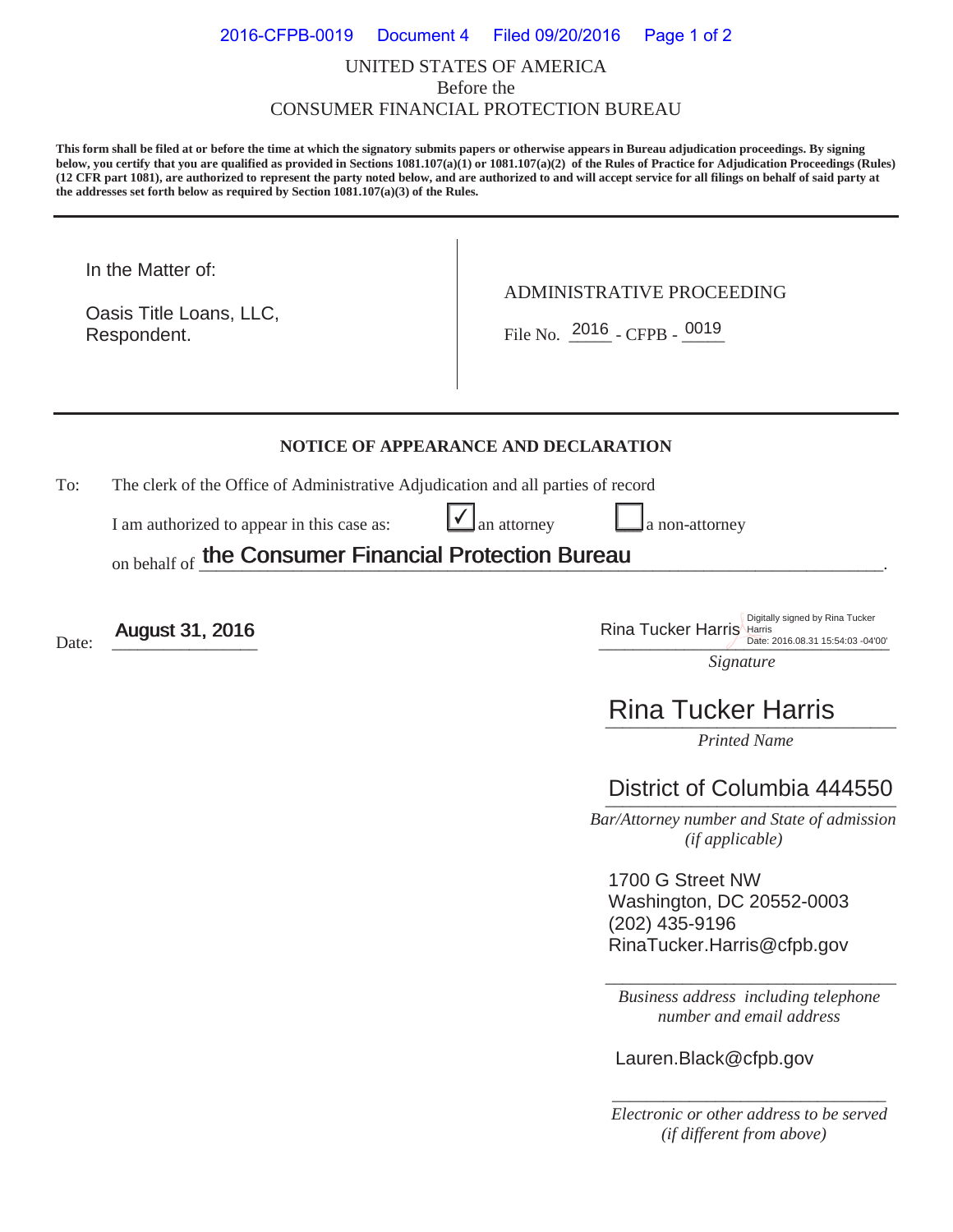#### UNITED STATES OF AMERICA Before the CONSUMER FINANCIAL PROTECTION BUREAU 2016-CFPB-0019 Document 4 Filed 09/20/2016 Page 1 of 2

**This form shall be filed at or before the time at which the signatory submits papers or otherwise appears in Bureau adjudication proceedings. By signing below, you certify that you are qualified as provided in Sections 1081.107(a)(1) or 1081.107(a)(2) of the Rules of Practice for Adjudication Proceedings (Rules) (12 CFR part 1081), are authorized to represent the party noted below, and are authorized to and will accept service for all filings on behalf of said party at the addresses set forth below as required by Section 1081.107(a)(3) of the Rules.** 

In the Matter of:

Respondent. Oasis Title Loans, LLC, ADMINISTRATIVE PROCEEDING

Respondent.  $\begin{array}{|c|c|c|c|c|}\n\hline\n\text{File No.} & \text{2016 } - \text{CFPB -} & \text{0019}\n\hline\n\end{array}$ 

#### **NOTICE OF APPEARANCE AND DECLARATION**

 $\checkmark$ 

To: The clerk of the Office of Administrative Adjudication and all parties of record

I am authorized to appear in this case as:  $\Box$  an attorney  $\Box$  a non-attorney

on behalf of the Consumer Financial Protection Bureau the Consumer Financial Protection Bureau

Date:  $\frac{\text{August 31, 2016}}{\text{Date: } 2016.08.31\,15.54:03\,04'00'}}$ Date: 2016.08.31 15:54:03 -04'00'

### *Signature*

# *\_\_\_\_\_\_\_\_\_\_\_\_\_\_\_\_\_\_\_\_\_\_\_\_\_\_\_\_\_\_\_\_\_\_*  Rina Tucker Harris

*Printed Name* 

## District of Columbia 444550

 *Bar/Attorney number and State of admission (if applicable)*

1700 G Street NW Washington, DC 20552-0003 (202) 435-9196 RinaTucker.Harris@cfpb.gov

\_\_\_\_\_\_\_\_\_\_\_\_\_\_\_\_\_\_\_\_\_\_\_\_\_\_\_\_\_\_\_\_\_\_ *Business address including telephone number and email address* 

Lauren.Black@cfpb.gov

*\_\_\_\_\_\_\_\_\_\_\_\_\_\_\_\_\_\_\_\_\_\_\_\_\_\_\_\_\_\_\_\_ Electronic or other address to be served (if different from above)*